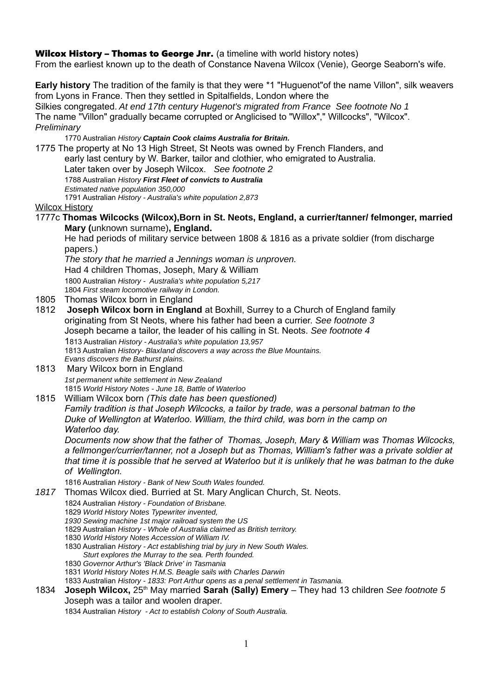## Wilcox History - Thomas to George Jnr. (a timeline with world history notes)

From the earliest known up to the death of Constance Navena Wilcox (Venie), George Seaborn's wife.

**Early history** The tradition of the family is that they were \*1 "Huguenot"of the name Villon", silk weavers from Lyons in France. Then they settled in Spitalfields, London where the

Silkies congregated. *At end 17th century Hugenot's migrated from France See footnote No 1*  The name "Villon" gradually became corrupted or Anglicised to "Willox"," Willcocks", "Wilcox". *Preliminary*

1770 Australian *History Captain Cook claims Australia for Britain.*

1775 The property at No 13 High Street, St Neots was owned by French Flanders, and

early last century by W. Barker, tailor and clothier, who emigrated to Australia.

Later taken over by Joseph Wilcox. *See footnote 2*

1788 Australian *History First Fleet of convicts to Australia*

*Estimated native population 350,000*

1791 Australian *History - Australia's white population 2,873*

## Wilcox History

1777c **Thomas Wilcocks (Wilcox),Born in St. Neots, England, a currier/tanner/ felmonger, married Mary (**unknown surname)**, England.** 

He had periods of military service between 1808 & 1816 as a private soldier (from discharge papers.)

*The story that he married a Jennings woman is unproven.* Had 4 children Thomas, Joseph, Mary & William

1800 Australian *History - Australia's white population 5,217*

1804 *First steam locomotive railway in London.*

- 1805 Thomas Wilcox born in England
- 1812 **Joseph Wilcox born in England** at Boxhill, Surrey to a Church of England family originating from St Neots, where his father had been a currier. *See footnote 3* Joseph became a tailor, the leader of his calling in St. Neots. *See footnote 4*  1813 Australian *History - Australia's white population 13,957* 1813 Australian *History- BlaxIand discovers a way across the Blue Mountains. Evans discovers the Bathurst plains.*
- 1813 Mary Wilcox born in England *1st permanent white settlement in New Zealand* 1815 *World History Notes - June 18, Battle of Waterloo*
- 1815 William Wilcox born *(This date has been questioned)*

*Family tradition is that Joseph Wilcocks, a tailor by trade, was a personal batman to the Duke of Wellington at Waterloo. William, the third child, was born in the camp on Waterloo day.*

*Documents now show that the father of Thomas, Joseph, Mary & William was Thomas Wilcocks, a fellmonger/currier/tanner, not a Joseph but as Thomas, William's father was a private soldier at that time it is possible that he served at Waterloo but it is unlikely that he was batman to the duke of Wellington.*

1816 Australian *History - Bank of New South Wales founded.*

- *1817* Thomas Wilcox died. Burried at St. Mary Anglican Church, St. Neots.
	- 1824 Australian *History Foundation of Brisbane.*
		- 1829 *World History Notes Typewriter invented,*
		- *1930 Sewing machine 1st major railroad system the US*
		- 1829 Australian *History Whole of Australia claimed as British territory.*
		- 1830 *World History Notes Accession of William IV.*
		- 1830 Australian *History Act establishing trial by jury in New South Wales.*
		- *Sturt explores the Murray to the sea. Perth founded.* 1830 *Governor Arthur's 'Black Drive' in Tasmania*
		- 1831 *World History Notes H.M.S. Beagle sails with Charles Darwin*
		- 1833 Australian *History 1833: Port Arthur opens as a penal settlement in Tasmania.*
- 1834 **Joseph Wilcox,** 25<sup>th</sup> May married **Sarah (Sally) Emery** They had 13 children *See footnote* 5 Joseph was a tailor and woolen draper.

1834 Australian *History - Act to establish Colony of South Australia.*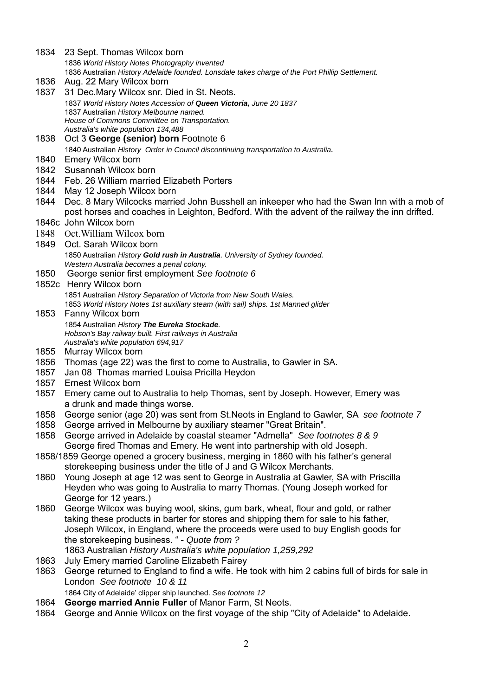1836 *World History Notes Photography invented* 1836 Australian *History Adelaide founded. Lonsdale takes charge of the Port Phillip Settlement.* 1836 Aug. 22 Mary Wilcox born 1837 31 Dec.Mary Wilcox snr. Died in St. Neots. 1837 *World History Notes Accession of Queen Victoria, June 20 1837* 1837 Australian *History Melbourne named. House of Commons Committee on Transportation. Australia's white population 134,488* 1838 Oct 3 **George (senior) born** Footnote 6 1840 Australian *History Order in Council discontinuing transportation to Australia.* 1840 Emery Wilcox born 1842 Susannah Wilcox born<br>1844 Feb. 26 William marrie 1844 Feb. 26 William married Elizabeth Porters 1844 May 12 Joseph Wilcox born 1844 Dec. 8 Mary Wilcocks married John Busshell an inkeeper who had the Swan Inn with a mob of post horses and coaches in Leighton, Bedford. With the advent of the railway the inn drifted. 1846c John Wilcox born 1848 Oct.William Wilcox born 1849 Oct. Sarah Wilcox born 1850 Australian *History Gold rush in Australia. University of Sydney founded. Western Australia becomes a penal colony.* 1850 George senior first employment *See footnote 6* 1852c Henry Wilcox born 1851 Australian *History Separation of Victoria from New South Wales.* 1853 *World History Notes 1st auxiliary steam (with sail) ships. 1st Manned glider* 1853 Fanny Wilcox born 1854 Australian *History The Eureka Stockade. Hobson's Bay railway built. First railways in Australia Australia's white population 694,917* 1855 Murray Wilcox born 1856 Thomas (age 22) was the first to come to Australia, to Gawler in SA. 1857 Jan 08 Thomas married Louisa Pricilla Heydon 1857 Ernest Wilcox born 1857 Emery came out to Australia to help Thomas, sent by Joseph. However, Emery was a drunk and made things worse. 1858 George senior (age 20) was sent from St.Neots in England to Gawler, SA *see footnote 7*  1858 George arrived in Melbourne by auxiliary steamer "Great Britain". 1858 George arrived in Adelaide by coastal steamer "Admella" *See footnotes 8 & 9*  George fired Thomas and Emery. He went into partnership with old Joseph. 1858/1859 George opened a grocery business, merging in 1860 with his father's general storekeeping business under the title of J and G Wilcox Merchants. 1860 Young Joseph at age 12 was sent to George in Australia at Gawler, SA with Priscilla Heyden who was going to Australia to marry Thomas. (Young Joseph worked for George for 12 years.) 1860 George Wilcox was buying wool, skins, gum bark, wheat, flour and gold, or rather taking these products in barter for stores and shipping them for sale to his father, Joseph Wilcox, in England, where the proceeds were used to buy English goods for the storekeeping business. " - *Quote from ?* 1863 Australian *History Australia's white population 1,259,292* 1863 July Emery married Caroline Elizabeth Fairey 1863 George returned to England to find a wife. He took with him 2 cabins full of birds for sale in London *See footnote 10 & 11*  1864 City of Adelaide' clipper ship launched. *See footnote 12*  1864 **George married Annie Fuller** of Manor Farm, St Neots. 1864 George and Annie Wilcox on the first voyage of the ship "City of Adelaide" to Adelaide.

1834 23 Sept. Thomas Wilcox born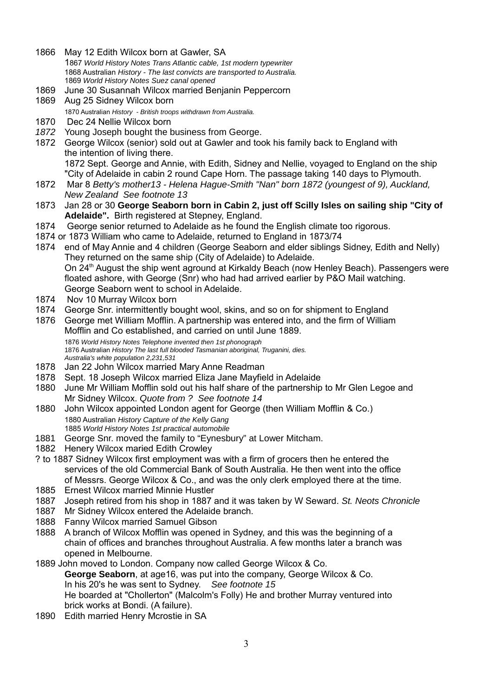- 1866 May 12 Edith Wilcox born at Gawler, SA 1867 *World History Notes Trans Atlantic cable, 1st modern typewriter* 1868 Australian *History - The last convicts are transported to Australia.* 1869 *World History Notes Suez canal opened*
- 1869 June 30 Susannah Wilcox married Benjanin Peppercorn
- 1869 Aug 25 Sidney Wilcox born
- 1870 Australian *History British troops withdrawn from Australia.*
- 1870 Dec 24 Nellie Wilcox born
- *1872* Young Joseph bought the business from George.
- 1872 George Wilcox (senior) sold out at Gawler and took his family back to England with the intention of living there. 1872 Sept. George and Annie, with Edith, Sidney and Nellie, voyaged to England on the ship "City of Adelaide in cabin 2 round Cape Horn. The passage taking 140 days to Plymouth.
- 1872 Mar 8 *Betty's mother13 Helena Hague-Smith "Nan" born 1872 (youngest of 9), Auckland, New Zealand See footnote 13*
- 1873 Jan 28 or 30 **George Seaborn born in Cabin 2, just off Scilly Isles on sailing ship "City of Adelaide".** Birth registered at Stepney, England.
- 1874 George senior returned to Adelaide as he found the English climate too rigorous.
- 1874 or 1873 William who came to Adelaide, returned to England in 1873/74
- 1874 end of May Annie and 4 children (George Seaborn and elder siblings Sidney, Edith and Nelly) They returned on the same ship (City of Adelaide) to Adelaide. On 24<sup>th</sup> August the ship went aground at Kirkaldy Beach (now Henley Beach). Passengers were floated ashore, with George (Snr) who had had arrived earlier by P&O Mail watching. George Seaborn went to school in Adelaide.
- 1874 Nov 10 Murray Wilcox born
- 1874 George Snr. intermittently bought wool, skins, and so on for shipment to England
- 1876 George met William Mofflin. A partnership was entered into, and the firm of William Mofflin and Co established, and carried on until June 1889. 1876 *World History Notes Telephone invented then 1st phonograph* 1876 Australian *History The last full blooded Tasmanian aboriginal, Truganini, dies. Australia's white population 2,231,531*
- 1878 Jan 22 John Wilcox married Mary Anne Readman
- 1878 Sept. 18 Joseph Wilcox married Eliza Jane Mayfield in Adelaide
- 1880 June Mr William Mofflin sold out his half share of the partnership to Mr Glen Legoe and Mr Sidney Wilcox. *Quote from ? See footnote 14*
- 1880 John Wilcox appointed London agent for George (then William Mofflin & Co.) 1880 Australian *History Capture of the Kelly Gang* 1885 *World History Notes 1st practical automobile*
- 1881 George Snr. moved the family to "Eynesbury" at Lower Mitcham.
- 1882 Henery Wilcox maried Edith Crowley
- ? to 1887 Sidney Wilcox first employment was with a firm of grocers then he entered the services of the old Commercial Bank of South Australia. He then went into the office of Messrs. George Wilcox & Co., and was the only clerk employed there at the time.
- 1885 Ernest Wilcox married Minnie Hustler
- 1887 Joseph retired from his shop in 1887 and it was taken by W Seward. *St. Neots Chronicle*
- Mr Sidney Wilcox entered the Adelaide branch.
- 1888 Fanny Wilcox married Samuel Gibson
- 1888 A branch of Wilcox Mofflin was opened in Sydney, and this was the beginning of a chain of offices and branches throughout Australia. A few months later a branch was opened in Melbourne.

1889 John moved to London. Company now called George Wilcox & Co. **George Seaborn**, at age16, was put into the company, George Wilcox & Co. In his 20's he was sent to Sydney. *See footnote 15* He boarded at "Chollerton" (Malcolm's Folly) He and brother Murray ventured into brick works at Bondi. (A failure).

1890 Edith married Henry Mcrostie in SA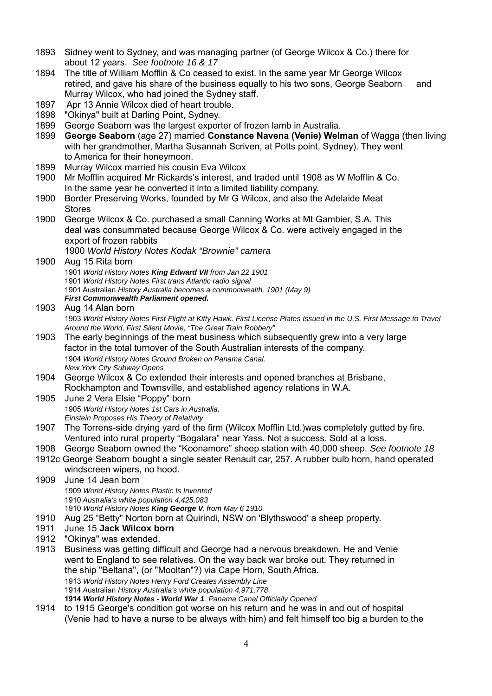- 1893 Sidney went to Sydney, and was managing partner (of George Wilcox & Co.) there for about 12 years. *See footnote 16 & 17*
- 1894 The title of William Mofflin & Co ceased to exist. In the same year Mr George Wilcox retired, and gave his share of the business equally to his two sons, George Seaborn and Murray Wilcox, who had joined the Sydney staff.
- 1897 Apr 13 Annie Wilcox died of heart trouble.
- 1898 "Okinya" built at Darling Point, Sydney.
- 1899 George Seaborn was the largest exporter of frozen lamb in Australia.
- 1899 **George Seaborn** (age 27) married **Constance Navena (Venie) Welman** of Wagga (then living with her grandmother, Martha Susannah Scriven, at Potts point, Sydney). They went to America for their honeymoon.
- 1899 Murray Wilcox married his cousin Eva Wilcox
- 1900 Mr Mofflin acquired Mr Rickards's interest, and traded until 1908 as W Mofflin & Co. In the same year he converted it into a limited liability company.
- 1900 Border Preserving Works, founded by Mr G Wilcox, and also the Adelaide Meat Stores
- 1900 George Wilcox & Co. purchased a small Canning Works at Mt Gambier, S.A. This deal was consummated because George Wilcox & Co. were actively engaged in the export of frozen rabbits

1900 *World History Notes Kodak "Brownie" camera*

- 1900 Aug 15 Rita born 1901 *World History Notes King Edward VII from Jan 22 1901* 1901 *World History Notes First trans Atlantic radio signal* 1901 Australian *History Australia becomes a commonwealth. 1901 (May 9)*
	- *First Commonwealth Parliament opened.*

1903 Aug 14 Alan born 1903 *World History Notes First Flight at Kitty Hawk. First License Plates Issued in the U.S. First Message to Travel Around the World, First Silent Movie, "The Great Train Robbery"*

- 1903 The early beginnings of the meat business which subsequently grew into a very large factor in the total turnover of the South Australian interests of the company. 1904 *World History Notes Ground Broken on Panama Canal. New York City Subway Opens*
- 1904 George Wilcox & Co extended their interests and opened branches at Brisbane, Rockhampton and Townsville, and established agency relations in W.A.
- 1905 June 2 Vera Elsie "Poppy" born 1905 *World History Notes 1st Cars in Australia. Einstein Proposes His Theory of Relativity*
- 1907 The Torrens-side drying yard of the firm (Wilcox Mofflin Ltd.)was completely gutted by fire. Ventured into rural property "Bogalara" near Yass. Not a success. Sold at a loss.
- 1908 George Seaborn owned the "Koonamore" sheep station with 40,000 sheep. *See footnote 18*
- 1912c George Seaborn bought a single seater Renault car, 257. A rubber bulb horn, hand operated windscreen wipers, no hood.

1909 June 14 Jean born *World History Notes Plastic Is Invented Australia's white population 4,425,083 World History Notes King George V, from May 6 1910*

- 1910 Aug 25 "Betty" Norton born at Quirindi, NSW on 'Blythswood' a sheep property.
- 1911 June 15 **Jack Wilcox born**
- 1912 "Okinya" was extended.
- 1913 Business was getting difficult and George had a nervous breakdown. He and Venie went to England to see relatives. On the way back war broke out. They returned in the ship "Beltana", (or "Mooltan"?) via Cape Horn, South Africa. 1913 *World History Notes Henry Ford Creates Assembly Line* 1914 *A*ustralian *History Australia's white population 4,971,778* **1914** *World History Notes - World War 1. Panama Canal Officially Opened*
- 1914 to 1915 George's condition got worse on his return and he was in and out of hospital (Venie had to have a nurse to be always with him) and felt himself too big a burden to the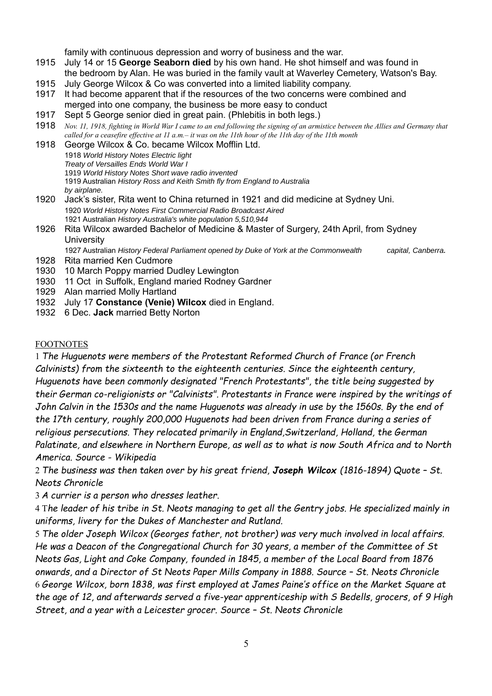family with continuous depression and worry of business and the war.

- 1915 July 14 or 15 **George Seaborn died** by his own hand. He shot himself and was found in the bedroom by Alan. He was buried in the family vault at Waverley Cemetery, Watson's Bay.
- 1915 July George Wilcox & Co was converted into a limited liability company.
- 1917 It had become apparent that if the resources of the two concerns were combined and merged into one company, the business be more easy to conduct
- 1917 Sept 5 George senior died in great pain. (Phlebitis in both legs.)
- 1918 *Nov. 11, 1918, fighting in World War I came to an end following the signing of an armistice between the Allies and Germany that called for a ceasefire effective at 11 a.m.– it was on the 11th hour of the 11th day of the 11th month*
- 1918 George Wilcox & Co. became Wilcox Mofflin Ltd. 1918 *World History Notes Electric light Treaty of Versailles Ends World War I* 1919 *World History Notes Short wave radio invented* 1919 Australian *History Ross and Keith Smith fly from England to Australia by airplane.*
- 1920 Jack's sister, Rita went to China returned in 1921 and did medicine at Sydney Uni. 1920 *World History Notes First Commercial Radio Broadcast Aired* 1921 Australian *History Australia's white population 5,510,944*
- 1926 Rita Wilcox awarded Bachelor of Medicine & Master of Surgery, 24th April, from Sydney **University**

1927 Australian *History Federal Parliament opened by Duke of York at the Commonwealth capital, Canberra.* 1928 Rita married Ken Cudmore

- 1930 10 March Poppy married Dudley Lewington
- 1930 11 Oct in Suffolk, England maried Rodney Gardner
- 1929 Alan married Molly Hartland
- 1932 July 17 **Constance (Venie) Wilcox** died in England.
- 1932 6 Dec. **Jack** married Betty Norton

## FOOTNOTES

1 *The Huguenots were members of the Protestant Reformed Church of France (or French Calvinists) from the sixteenth to the eighteenth centuries. Since the eighteenth century, Huguenots have been commonly designated "French Protestants", the title being suggested by their German co-religionists or "Calvinists". Protestants in France were inspired by the writings of John Calvin in the 1530s and the name Huguenots was already in use by the 1560s. By the end of the 17th century, roughly 200,000 Huguenots had been driven from France during a series of religious persecutions. They relocated primarily in England,Switzerland, Holland, the German Palatinate, and elsewhere in Northern Europe, as well as to what is now South Africa and to North America. Source - Wikipedia*

2 *The business was then taken over by his great friend, Joseph Wilcox (1816-1894) Quote – St. Neots Chronicle*

3 *A currier is a person who dresses leather.*

4 T*he leader of his tribe in St. Neots managing to get all the Gentry jobs. He specialized mainly in uniforms, livery for the Dukes of Manchester and Rutland.*

5 *The older Joseph Wilcox (Georges father, not brother) was very much involved in local affairs. He was a Deacon of the Congregational Church for 30 years, a member of the Committee of St Neots Gas, Light and Coke Company, founded in 1845, a member of the Local Board from 1876 onwards, and a Director of St Neots Paper Mills Company in 1888. Source – St. Neots Chronicle* 6 *George Wilcox, born 1838, was first employed at James Paine's office on the Market Square at the age of 12, and afterwards served a five-year apprenticeship with S Bedells, grocers, of 9 High Street, and a year with a Leicester grocer. Source – St. Neots Chronicle*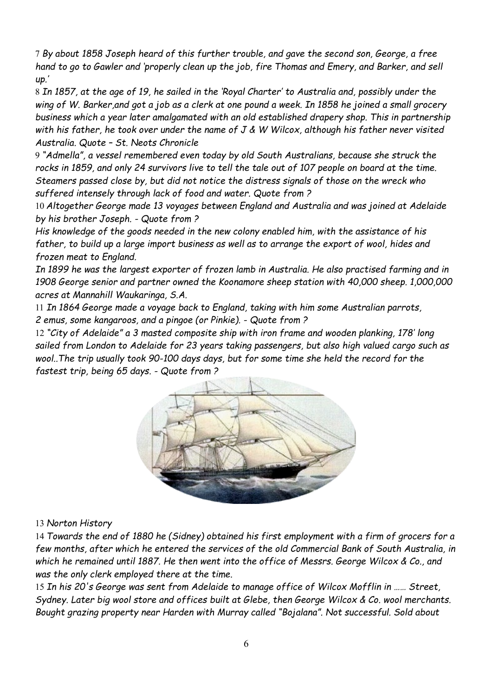7 *By about 1858 Joseph heard of this further trouble, and gave the second son, George, a free hand to go to Gawler and 'properly clean up the job, fire Thomas and Emery, and Barker, and sell up.'*

8 *In 1857, at the age of 19, he sailed in the 'Royal Charter' to Australia and, possibly under the wing of W. Barker,and got a job as a clerk at one pound a week. In 1858 he joined a small grocery business which a year later amalgamated with an old established drapery shop. This in partnership with his father, he took over under the name of J & W Wilcox, although his father never visited Australia. Quote – St. Neots Chronicle*

9 *"Admella", a vessel remembered even today by old South Australians, because she struck the rocks in 1859, and only 24 survivors live to tell the tale out of 107 people on board at the time. Steamers passed close by, but did not notice the distress signals of those on the wreck who suffered intensely through lack of food and water. Quote from ?*

10 *Altogether George made 13 voyages between England and Australia and was joined at Adelaide by his brother Joseph. - Quote from ?*

*His knowledge of the goods needed in the new colony enabled him, with the assistance of his father, to build up a large import business as well as to arrange the export of wool, hides and frozen meat to England.*

*In 1899 he was the largest exporter of frozen lamb in Australia. He also practised farming and in 1908 George senior and partner owned the Koonamore sheep station with 40,000 sheep. 1,000,000 acres at Mannahill Waukaringa, S.A.*

11 *In 1864 George made a voyage back to England, taking with him some Australian parrots, 2 emus, some kangaroos, and a pingoe (or Pinkie). - Quote from ?*

12 *"City of Adelaide" a 3 masted composite ship with iron frame and wooden planking, 178' long sailed from London to Adelaide for 23 years taking passengers, but also high valued cargo such as wool..The trip usually took 90-100 days days, but for some time she held the record for the fastest trip, being 65 days. - Quote from ?*



## 13 *Norton History*

14 *Towards the end of 1880 he (Sidney) obtained his first employment with a firm of grocers for a few months, after which he entered the services of the old Commercial Bank of South Australia, in which he remained until 1887. He then went into the office of Messrs. George Wilcox & Co., and was the only clerk employed there at the time.*

15 *In his 20's George was sent from Adelaide to manage office of Wilcox Mofflin in …… Street, Sydney. Later big wool store and offices built at Glebe, then George Wilcox & Co. wool merchants. Bought grazing property near Harden with Murray called "Bojalana". Not successful. Sold about*